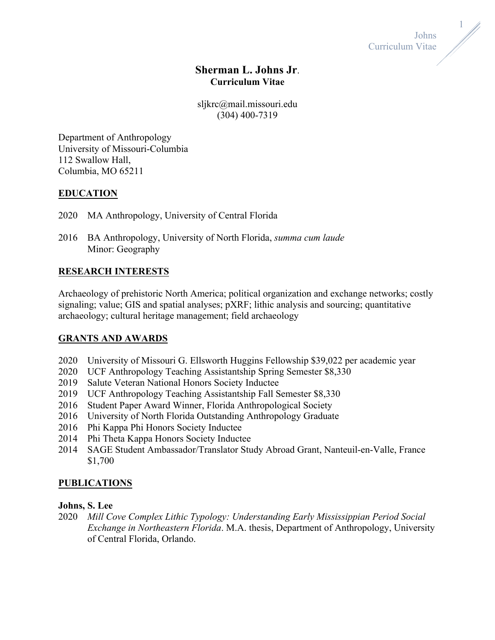

1

# **Sherman L. Johns Jr**. **Curriculum Vitae**

sljkrc@mail.missouri.edu (304) 400-7319

Department of Anthropology University of Missouri-Columbia 112 Swallow Hall, Columbia, MO 65211

# **EDUCATION**

- 2020 MA Anthropology, University of Central Florida
- 2016 BA Anthropology, University of North Florida, *summa cum laude* Minor: Geography

# **RESEARCH INTERESTS**

Archaeology of prehistoric North America; political organization and exchange networks; costly signaling; value; GIS and spatial analyses; pXRF; lithic analysis and sourcing; quantitative archaeology; cultural heritage management; field archaeology

## **GRANTS AND AWARDS**

- 2020 University of Missouri G. Ellsworth Huggins Fellowship \$39,022 per academic year
- 2020 UCF Anthropology Teaching Assistantship Spring Semester \$8,330
- 2019 Salute Veteran National Honors Society Inductee
- 2019 UCF Anthropology Teaching Assistantship Fall Semester \$8,330
- 2016 Student Paper Award Winner, Florida Anthropological Society
- 2016 University of North Florida Outstanding Anthropology Graduate
- 2016 Phi Kappa Phi Honors Society Inductee
- 2014 Phi Theta Kappa Honors Society Inductee
- 2014 SAGE Student Ambassador/Translator Study Abroad Grant, Nanteuil-en-Valle, France \$1,700

# **PUBLICATIONS**

## **Johns, S. Lee**

2020 *Mill Cove Complex Lithic Typology: Understanding Early Mississippian Period Social Exchange in Northeastern Florida*. M.A. thesis, Department of Anthropology, University of Central Florida, Orlando.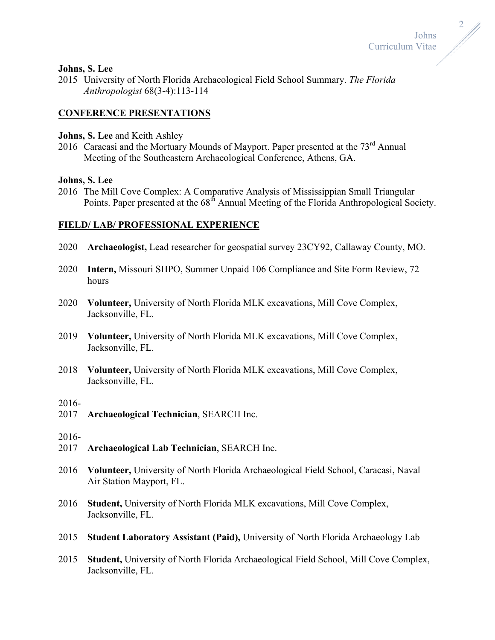

#### **Johns, S. Lee**

2015 University of North Florida Archaeological Field School Summary. *The Florida Anthropologist* 68(3-4):113-114

### **CONFERENCE PRESENTATIONS**

### **Johns, S. Lee** and Keith Ashley

2016 Caracasi and the Mortuary Mounds of Mayport. Paper presented at the 73<sup>rd</sup> Annual Meeting of the Southeastern Archaeological Conference, Athens, GA.

### **Johns, S. Lee**

2016 The Mill Cove Complex: A Comparative Analysis of Mississippian Small Triangular Points. Paper presented at the 68<sup>th</sup> Annual Meeting of the Florida Anthropological Society.

### **FIELD/ LAB/ PROFESSIONAL EXPERIENCE**

- 2020 **Archaeologist,** Lead researcher for geospatial survey 23CY92, Callaway County, MO.
- 2020 **Intern,** Missouri SHPO, Summer Unpaid 106 Compliance and Site Form Review, 72 hours
- 2020 **Volunteer,** University of North Florida MLK excavations, Mill Cove Complex, Jacksonville, FL.
- 2019 **Volunteer,** University of North Florida MLK excavations, Mill Cove Complex, Jacksonville, FL.
- 2018 **Volunteer,** University of North Florida MLK excavations, Mill Cove Complex, Jacksonville, FL.

#### 2016-

2017 **Archaeological Technician**, SEARCH Inc.

### 2016-

- 2017 **Archaeological Lab Technician**, SEARCH Inc.
- 2016 **Volunteer,** University of North Florida Archaeological Field School, Caracasi, Naval Air Station Mayport, FL.
- 2016 **Student,** University of North Florida MLK excavations, Mill Cove Complex, Jacksonville, FL.
- 2015 **Student Laboratory Assistant (Paid),** University of North Florida Archaeology Lab
- 2015 **Student,** University of North Florida Archaeological Field School, Mill Cove Complex, Jacksonville, FL.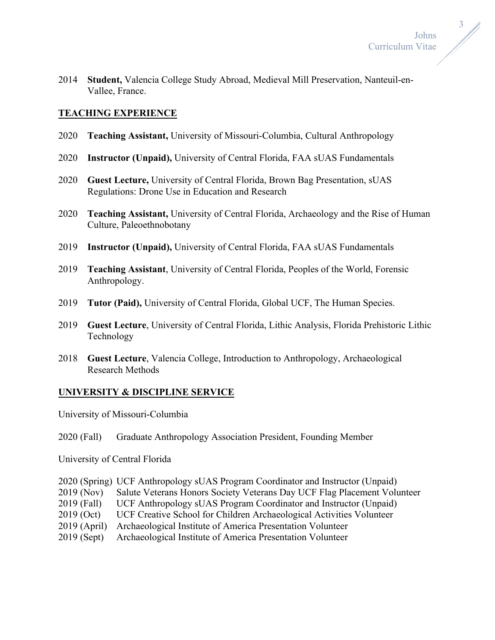3

2014 **Student,** Valencia College Study Abroad, Medieval Mill Preservation, Nanteuil-en-Vallee, France.

# **TEACHING EXPERIENCE**

- 2020 **Teaching Assistant,** University of Missouri-Columbia, Cultural Anthropology
- 2020 **Instructor (Unpaid),** University of Central Florida, FAA sUAS Fundamentals
- 2020 **Guest Lecture,** University of Central Florida, Brown Bag Presentation, sUAS Regulations: Drone Use in Education and Research
- 2020 **Teaching Assistant,** University of Central Florida, Archaeology and the Rise of Human Culture, Paleoethnobotany
- 2019 **Instructor (Unpaid),** University of Central Florida, FAA sUAS Fundamentals
- 2019 **Teaching Assistant**, University of Central Florida, Peoples of the World, Forensic Anthropology.
- 2019 **Tutor (Paid),** University of Central Florida, Global UCF, The Human Species.
- 2019 **Guest Lecture**, University of Central Florida, Lithic Analysis, Florida Prehistoric Lithic Technology
- 2018 **Guest Lecture**, Valencia College, Introduction to Anthropology, Archaeological Research Methods

## **UNIVERSITY & DISCIPLINE SERVICE**

University of Missouri-Columbia

2020 (Fall) Graduate Anthropology Association President, Founding Member

University of Central Florida

- 2020 (Spring) UCF Anthropology sUAS Program Coordinator and Instructor (Unpaid)
- 2019 (Nov) Salute Veterans Honors Society Veterans Day UCF Flag Placement Volunteer
- 2019 (Fall) UCF Anthropology sUAS Program Coordinator and Instructor (Unpaid)
- 2019 (Oct) UCF Creative School for Children Archaeological Activities Volunteer
- 2019 (April) Archaeological Institute of America Presentation Volunteer
- 2019 (Sept) Archaeological Institute of America Presentation Volunteer